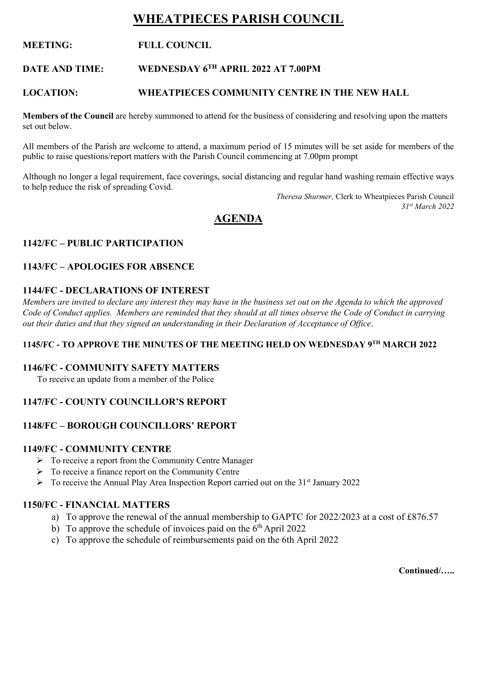# **WHEATPIECES PARISH COUNCIL**

# **MEETING: FULL COUNCIL**

#### **DATE AND TIME: TH APRIL 2022 AT 7.00PM**

#### **LOCATION: WHEATPIECES COMMUNITY CENTRE IN THE NEW HALL**

**Members of the Council** are hereby summoned to attend for the business of considering and resolving upon the matters set out below.

All members of the Parish are welcome to attend, a maximum period of 15 minutes will be set aside for members of the public to raise questions/report matters with the Parish Council commencing at 7.00pm prompt

Although no longer a legal requirement, face coverings, social distancing and regular hand washing remain effective ways to help reduce the risk of spreading Covid.

> *Theresa Shurmer,* Clerk to Wheatpieces Parish Council *31st March 2022*

# **AGENDA**

### **1142/FC – PUBLIC PARTICIPATION**

#### **1143/FC – APOLOGIES FOR ABSENCE**

#### **1144/FC - DECLARATIONS OF INTEREST**

*Members are invited to declare any interest they may have in the business set out on the Agenda to which the approved Code of Conduct applies. Members are reminded that they should at all times observe the Code of Conduct in carrying out their duties and that they signed an understanding in their Declaration of Acceptance of Office*.

#### **1145/FC - TO APPROVE THE MINUTES OF THE MEETING HELD ON WEDNESDAY 9TH MARCH 2022**

#### **1146/FC - COMMUNITY SAFETY MATTERS**

To receive an update from a member of the Police

# **1147/FC - COUNTY COUNCILLOR'S REPORT**

#### **1148/FC – BOROUGH COUNCILLORS' REPORT**

#### **1149/FC - COMMUNITY CENTRE**

- $\triangleright$  To receive a report from the Community Centre Manager
- ➢ To receive a finance report on the Community Centre
- $\triangleright$  To receive the Annual Play Area Inspection Report carried out on the 31<sup>st</sup> January 2022

### **1150/FC - FINANCIAL MATTERS**

- a) To approve the renewal of the annual membership to GAPTC for 2022/2023 at a cost of £876.57
- b) To approve the schedule of invoices paid on the  $6<sup>th</sup>$  April 2022
- c) To approve the schedule of reimbursements paid on the 6th April 2022

**Continued/…..**